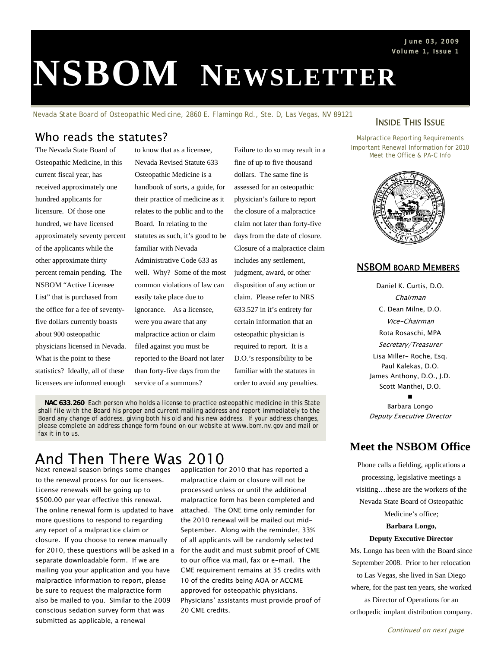# **NSBOM NEWSLETTER**

*Nevada State Board of Osteopathic Medicine, 2860 E. Flamingo Rd., Ste. D, Las Vegas, NV 89121*

## Who reads the statutes?

The Nevada State Board of Osteopathic Medicine, in this current fiscal year, has received approximately one hundred applicants for licensure. Of those one hundred, we have licensed approximately seventy percent of the applicants while the other approximate thirty percent remain pending. The NSBOM "Active Licensee List" that is purchased from the office for a fee of seventyfive dollars currently boasts about 900 osteopathic physicians licensed in Nevada. What is the point to these statistics? Ideally, all of these licensees are informed enough

to know that as a licensee, Nevada Revised Statute 633 Osteopathic Medicine is a handbook of sorts, a guide, for their practice of medicine as it relates to the public and to the Board. In relating to the statutes as such, it's good to be familiar with Nevada Administrative Code 633 as well. Why? Some of the most common violations of law can easily take place due to ignorance. As a licensee, were you aware that any malpractice action or claim filed against you must be reported to the Board not later than forty-five days from the service of a summons?

Failure to do so may result in a fine of up to five thousand dollars. The same fine is assessed for an osteopathic physician's failure to report the closure of a malpractice claim not later than forty-five days from the date of closure. Closure of a malpractice claim includes any settlement, judgment, award, or other disposition of any action or claim. Please refer to NRS 633.527 in it's entirety for certain information that an osteopathic physician is required to report. It is a D.O.'s responsibility to be familiar with the statutes in order to avoid any penalties.

*NAC 633.260 Each person who holds a license to practice osteopathic medicine in this State shall file with the Board his proper and current mailing address and report immediately to the Board any change of address, giving both his old and his new address.* If your address changes, please complete an address change form found on our website at www.bom.nv.gov and mail or fax it in to us.

## And Then There Was 2010

Next renewal season brings some changes to the renewal process for our licensees. License renewals will be going up to \$500.00 per year effective this renewal. The online renewal form is updated to have more questions to respond to regarding any report of a malpractice claim or closure. If you choose to renew manually for 2010, these questions will be asked in a separate downloadable form. If we are mailing you your application and you have malpractice information to report, please be sure to request the malpractice form also be mailed to you. Similar to the 2009 conscious sedation survey form that was submitted as applicable, a renewal

application for 2010 that has reported a malpractice claim or closure will not be processed unless or until the additional malpractice form has been completed and attached. The ONE time only reminder for the 2010 renewal will be mailed out mid-September. Along with the reminder, 33% of all applicants will be randomly selected for the audit and must submit proof of CME to our office via mail, fax or e-mail. The CME requirement remains at 35 credits with 10 of the credits being AOA or ACCME approved for osteopathic physicians. Physicians' assistants must provide proof of 20 CME credits.

### **INSIDE THIS ISSUE**

Malpractice Reporting Requirements Important Renewal Information for 2010 Meet the Office & PA-C Info



#### NSBOM BOARD MEMBERS

Daniel K. Curtis, D.O. Chairman C. Dean Milne, D.O. Vice-Chairman Rota Rosaschi, MPA Secretary/Treasurer Lisa Miller- Roche, Esq. Paul Kalekas, D.O. James Anthony, D.O., J.D. Scott Manthei, D.O.

∎ Barbara Longo Deputy Executive Director

## **Meet the NSBOM Office**

Phone calls a fielding, applications a processing, legislative meetings a visiting…these are the workers of the Nevada State Board of Osteopathic Medicine's office; **Barbara Longo, Deputy Executive Director**  Ms. Longo has been with the Board since

September 2008. Prior to her relocation to Las Vegas, she lived in San Diego where, for the past ten years, she worked as Director of Operations for an orthopedic implant distribution company.